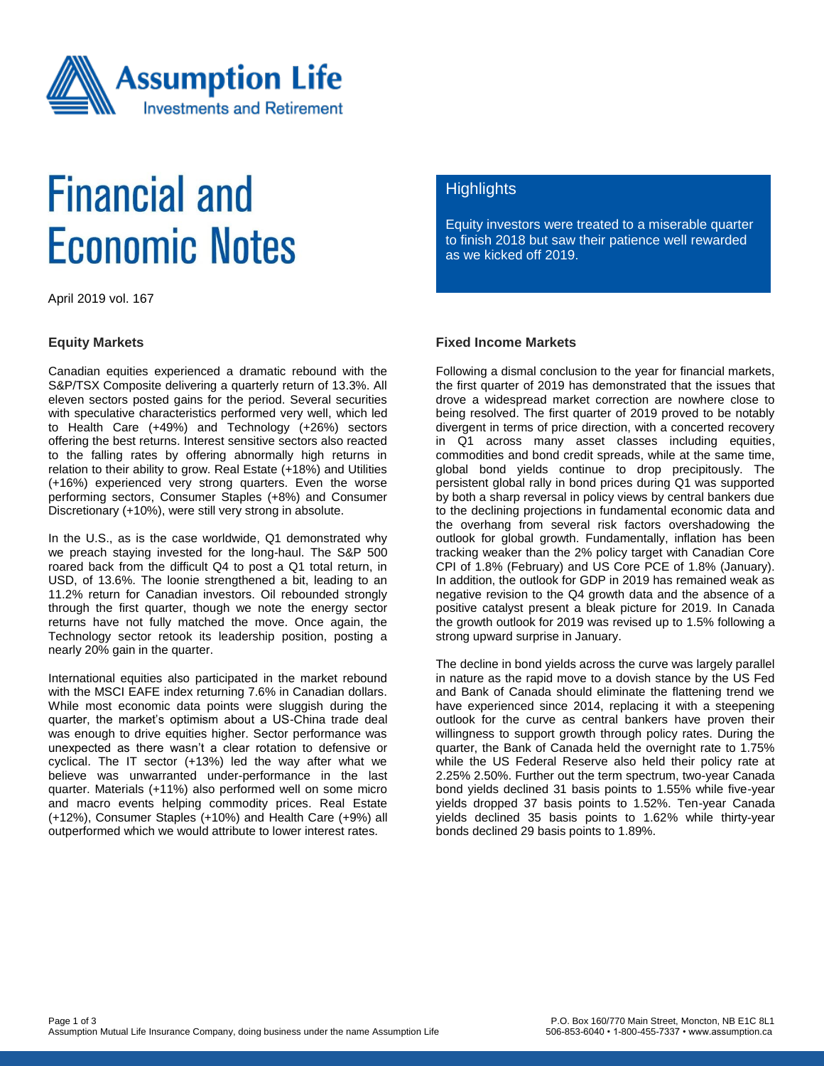

# **Financial and Economic Notes**

April 2019 vol. 167

### **Equity Markets**

Canadian equities experienced a dramatic rebound with the S&P/TSX Composite delivering a quarterly return of 13.3%. All eleven sectors posted gains for the period. Several securities with speculative characteristics performed very well, which led to Health Care (+49%) and Technology (+26%) sectors offering the best returns. Interest sensitive sectors also reacted to the falling rates by offering abnormally high returns in relation to their ability to grow. Real Estate (+18%) and Utilities (+16%) experienced very strong quarters. Even the worse performing sectors, Consumer Staples (+8%) and Consumer Discretionary (+10%), were still very strong in absolute.

In the U.S., as is the case worldwide, Q1 demonstrated why we preach staying invested for the long-haul. The S&P 500 roared back from the difficult Q4 to post a Q1 total return, in USD, of 13.6%. The loonie strengthened a bit, leading to an 11.2% return for Canadian investors. Oil rebounded strongly through the first quarter, though we note the energy sector returns have not fully matched the move. Once again, the Technology sector retook its leadership position, posting a nearly 20% gain in the quarter.

International equities also participated in the market rebound with the MSCI EAFE index returning 7.6% in Canadian dollars. While most economic data points were sluggish during the quarter, the market's optimism about a US-China trade deal was enough to drive equities higher. Sector performance was unexpected as there wasn't a clear rotation to defensive or cyclical. The IT sector (+13%) led the way after what we believe was unwarranted under-performance in the last quarter. Materials (+11%) also performed well on some micro and macro events helping commodity prices. Real Estate (+12%), Consumer Staples (+10%) and Health Care (+9%) all outperformed which we would attribute to lower interest rates.

### **Highlights**

Equity investors were treated to a miserable quarter to finish 2018 but saw their patience well rewarded as we kicked off 2019.

### **Fixed Income Markets**

Following a dismal conclusion to the year for financial markets, the first quarter of 2019 has demonstrated that the issues that drove a widespread market correction are nowhere close to being resolved. The first quarter of 2019 proved to be notably divergent in terms of price direction, with a concerted recovery in Q1 across many asset classes including equities, commodities and bond credit spreads, while at the same time, global bond yields continue to drop precipitously. The persistent global rally in bond prices during Q1 was supported by both a sharp reversal in policy views by central bankers due to the declining projections in fundamental economic data and the overhang from several risk factors overshadowing the outlook for global growth. Fundamentally, inflation has been tracking weaker than the 2% policy target with Canadian Core CPI of 1.8% (February) and US Core PCE of 1.8% (January). In addition, the outlook for GDP in 2019 has remained weak as negative revision to the Q4 growth data and the absence of a positive catalyst present a bleak picture for 2019. In Canada the growth outlook for 2019 was revised up to 1.5% following a strong upward surprise in January.

The decline in bond yields across the curve was largely parallel in nature as the rapid move to a dovish stance by the US Fed and Bank of Canada should eliminate the flattening trend we have experienced since 2014, replacing it with a steepening outlook for the curve as central bankers have proven their willingness to support growth through policy rates. During the quarter, the Bank of Canada held the overnight rate to 1.75% while the US Federal Reserve also held their policy rate at 2.25% 2.50%. Further out the term spectrum, two-year Canada bond yields declined 31 basis points to 1.55% while five-year yields dropped 37 basis points to 1.52%. Ten-year Canada yields declined 35 basis points to 1.62% while thirty-year bonds declined 29 basis points to 1.89%.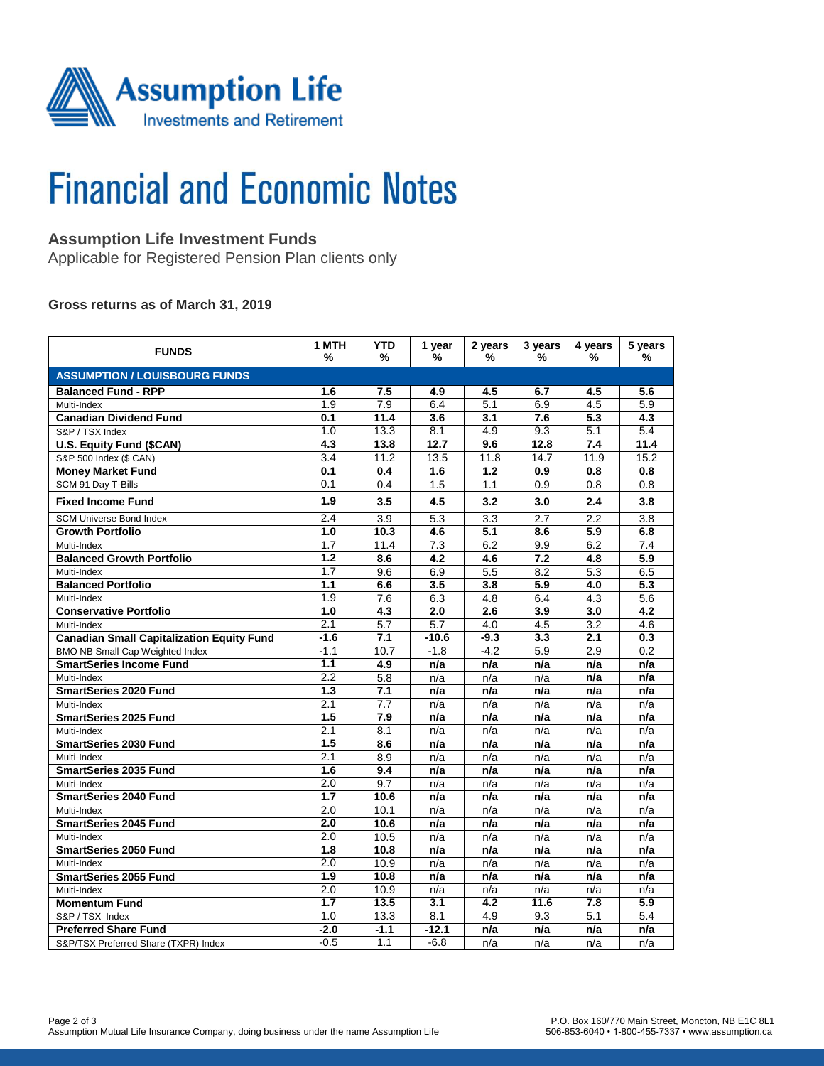

# **Financial and Economic Notes**

## **Assumption Life Investment Funds**

Applicable for Registered Pension Plan clients only

### **Gross returns as of March 31, 2019**

| <b>FUNDS</b>                                     | 1 MTH<br>%       | <b>YTD</b><br>%  | 1 year<br>% | 2 years<br>%     | 3 years<br>% | 4 years<br>%     | 5 years<br>%     |  |  |  |  |
|--------------------------------------------------|------------------|------------------|-------------|------------------|--------------|------------------|------------------|--|--|--|--|
| <b>ASSUMPTION / LOUISBOURG FUNDS</b>             |                  |                  |             |                  |              |                  |                  |  |  |  |  |
| <b>Balanced Fund - RPP</b>                       | 1.6              | 7.5              | 4.9         | 4.5              | 6.7          | 4.5              | 5.6              |  |  |  |  |
| Multi-Index                                      | 1.9              | $\overline{7.9}$ | 6.4         | 5.1              | 6.9          | 4.5              | 5.9              |  |  |  |  |
| <b>Canadian Dividend Fund</b>                    | 0.1              | 11.4             | 3.6         | 3.1              | 7.6          | 5.3              | 4.3              |  |  |  |  |
| S&P / TSX Index                                  | 1.0              | 13.3             | 8.1         | 4.9              | 9.3          | $\overline{5.1}$ | 5.4              |  |  |  |  |
| U.S. Equity Fund (\$CAN)                         | 4.3              | 13.8             | 12.7        | 9.6              | 12.8         | 7.4              | 11.4             |  |  |  |  |
| S&P 500 Index (\$ CAN)                           | 3.4              | 11.2             | 13.5        | 11.8             | 14.7         | 11.9             | 15.2             |  |  |  |  |
| <b>Money Market Fund</b>                         | 0.1              | 0.4              | 1.6         | 1.2              | 0.9          | 0.8              | 0.8              |  |  |  |  |
| SCM 91 Day T-Bills                               | 0.1              | 0.4              | 1.5         | 1.1              | 0.9          | 0.8              | 0.8              |  |  |  |  |
| <b>Fixed Income Fund</b>                         | 1.9              | 3.5              | 4.5         | 3.2              | 3.0          | 2.4              | 3.8              |  |  |  |  |
| <b>SCM Universe Bond Index</b>                   | 2.4              | $\overline{3.9}$ | 5.3         | $\overline{3.3}$ | 2.7          | 2.2              | $\overline{3.8}$ |  |  |  |  |
| <b>Growth Portfolio</b>                          | 1.0              | 10.3             | 4.6         | $\overline{5.1}$ | 8.6          | $\overline{5.9}$ | 6.8              |  |  |  |  |
| Multi-Index                                      | 1.7              | 11.4             | 7.3         | 6.2              | 9.9          | 6.2              | 7.4              |  |  |  |  |
| <b>Balanced Growth Portfolio</b>                 | 1.2              | 8.6              | 4.2         | 4.6              | 7.2          | 4.8              | 5.9              |  |  |  |  |
| Multi-Index                                      | 1.7              | 9.6              | 6.9         | 5.5              | 8.2          | 5.3              | 6.5              |  |  |  |  |
| <b>Balanced Portfolio</b>                        | 1.1              | 6.6              | 3.5         | 3.8              | 5.9          | 4.0              | 5.3              |  |  |  |  |
| Multi-Index                                      | 1.9              | 7.6              | 6.3         | 4.8              | 6.4          | 4.3              | 5.6              |  |  |  |  |
| <b>Conservative Portfolio</b>                    | 1.0              | 4.3              | 2.0         | 2.6              | 3.9          | 3.0              | 4.2              |  |  |  |  |
| Multi-Index                                      | 2.1              | 5.7              | 5.7         | 4.0              | 4.5          | 3.2              | 4.6              |  |  |  |  |
| <b>Canadian Small Capitalization Equity Fund</b> | $-1.6$           | 7.1              | $-10.6$     | $-9.3$           | 3.3          | 2.1              | 0.3              |  |  |  |  |
| BMO NB Small Cap Weighted Index                  | $-1.1$           | 10.7             | $-1.8$      | $-4.2$           | 5.9          | 2.9              | 0.2              |  |  |  |  |
| <b>SmartSeries Income Fund</b>                   | 1.1              | 4.9              | n/a         | n/a              | n/a          | n/a              | n/a              |  |  |  |  |
| Multi-Index                                      | 2.2              | 5.8              | n/a         | n/a              | n/a          | n/a              | n/a              |  |  |  |  |
| <b>SmartSeries 2020 Fund</b>                     | 1.3              | 7.1              | n/a         | n/a              | n/a          | n/a              | n/a              |  |  |  |  |
| Multi-Index                                      | $\overline{2.1}$ | 7.7              | n/a         | n/a              | n/a          | n/a              | n/a              |  |  |  |  |
| <b>SmartSeries 2025 Fund</b>                     | 1.5              | 7.9              | n/a         | n/a              | n/a          | n/a              | n/a              |  |  |  |  |
| Multi-Index                                      | 2.1              | 8.1              | n/a         | n/a              | n/a          | n/a              | n/a              |  |  |  |  |
| <b>SmartSeries 2030 Fund</b>                     | 1.5              | $\overline{8.6}$ | n/a         | n/a              | n/a          | n/a              | n/a              |  |  |  |  |
| Multi-Index                                      | 2.1              | 8.9              | n/a         | n/a              | n/a          | n/a              | n/a              |  |  |  |  |
| <b>SmartSeries 2035 Fund</b>                     | 1.6              | 9.4              | n/a         | n/a              | n/a          | n/a              | n/a              |  |  |  |  |
| Multi-Index                                      | $\overline{2.0}$ | 9.7              | n/a         | n/a              | n/a          | n/a              | n/a              |  |  |  |  |
| <b>SmartSeries 2040 Fund</b>                     | 1.7              | 10.6             | n/a         | n/a              | n/a          | n/a              | n/a              |  |  |  |  |
| Multi-Index                                      | 2.0              | 10.1             | n/a         | n/a              | n/a          | n/a              | n/a              |  |  |  |  |
| <b>SmartSeries 2045 Fund</b>                     | 2.0              | 10.6             | n/a         | n/a              | n/a          | n/a              | n/a              |  |  |  |  |
| Multi-Index                                      | 2.0              | 10.5             | n/a         | n/a              | n/a          | n/a              | n/a              |  |  |  |  |
| <b>SmartSeries 2050 Fund</b>                     | 1.8              | 10.8             | n/a         | n/a              | n/a          | n/a              | n/a              |  |  |  |  |
| Multi-Index                                      | 2.0              | 10.9             | n/a         | n/a              | n/a          | n/a              | n/a              |  |  |  |  |
| <b>SmartSeries 2055 Fund</b>                     | $\overline{1.9}$ | 10.8             | n/a         | n/a              | n/a          | n/a              | n/a              |  |  |  |  |
| Multi-Index                                      | 2.0              | 10.9             | n/a         | n/a              | n/a          | n/a              | n/a              |  |  |  |  |
| <b>Momentum Fund</b>                             | 1.7              | 13.5             | 3.1         | 4.2              | 11.6         | 7.8              | 5.9              |  |  |  |  |
| S&P / TSX Index                                  | 1.0              | 13.3             | 8.1         | 4.9              | 9.3          | $\overline{5.1}$ | 5.4              |  |  |  |  |
| <b>Preferred Share Fund</b>                      | $-2.0$           | $-1.1$           | $-12.1$     | n/a              | n/a          | n/a              | n/a              |  |  |  |  |
| S&P/TSX Preferred Share (TXPR) Index             | $-0.5$           | 1.1              | $-6.8$      | n/a              | n/a          | n/a              | n/a              |  |  |  |  |